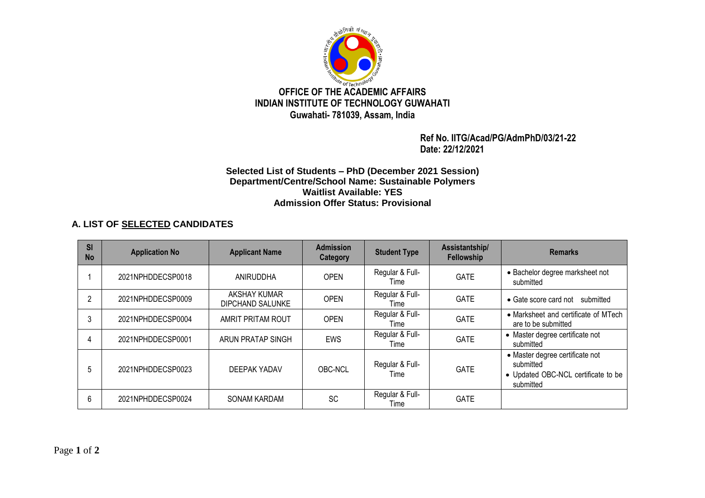

 **Ref No. IITG/Acad/PG/AdmPhD/03/21-22 Date: 22/12/2021**

## **Selected List of Students – PhD (December 2021 Session) Department/Centre/School Name: Sustainable Polymers Waitlist Available: YES Admission Offer Status: Provisional**

## **A. LIST OF SELECTED CANDIDATES**

| SI<br><b>No</b> | <b>Application No</b> | <b>Applicant Name</b>            | <b>Admission</b><br>Category | <b>Student Type</b>     | Assistantship/<br>Fellowship | <b>Remarks</b>                                                                                   |
|-----------------|-----------------------|----------------------------------|------------------------------|-------------------------|------------------------------|--------------------------------------------------------------------------------------------------|
|                 | 2021NPHDDECSP0018     | ANIRUDDHA                        | <b>OPEN</b>                  | Regular & Full-<br>Time | <b>GATE</b>                  | • Bachelor degree marksheet not<br>submitted                                                     |
| 2               | 2021NPHDDECSP0009     | AKSHAY KUMAR<br>DIPCHAND SALUNKE | <b>OPEN</b>                  | Regular & Full-<br>Time | <b>GATE</b>                  | • Gate score card not submitted                                                                  |
| 3               | 2021NPHDDECSP0004     | AMRIT PRITAM ROUT                | <b>OPEN</b>                  | Regular & Full-<br>Time | <b>GATE</b>                  | • Marksheet and certificate of MTech<br>are to be submitted                                      |
| 4               | 2021NPHDDECSP0001     | ARUN PRATAP SINGH                | <b>EWS</b>                   | Regular & Full-<br>Time | <b>GATE</b>                  | • Master degree certificate not<br>submitted                                                     |
| .5              | 2021NPHDDECSP0023     | DEEPAK YADAV                     | OBC-NCL                      | Regular & Full-<br>Time | <b>GATE</b>                  | • Master degree certificate not<br>submitted<br>• Updated OBC-NCL certificate to be<br>submitted |
| 6               | 2021NPHDDECSP0024     | <b>SONAM KARDAM</b>              | <b>SC</b>                    | Regular & Full-<br>Time | <b>GATE</b>                  |                                                                                                  |